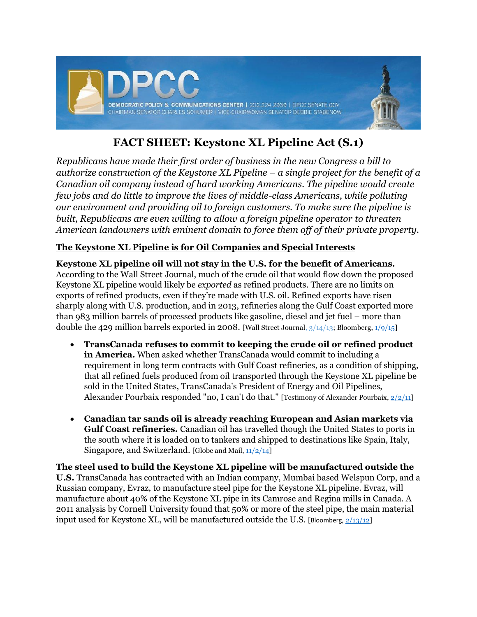

# **FACT SHEET: Keystone XL Pipeline Act (S.1)**

*Republicans have made their first order of business in the new Congress a bill to authorize construction of the Keystone XL Pipeline – a single project for the benefit of a Canadian oil company instead of hard working Americans. The pipeline would create few jobs and do little to improve the lives of middle-class Americans, while polluting our environment and providing oil to foreign customers. To make sure the pipeline is built, Republicans are even willing to allow a foreign pipeline operator to threaten American landowners with eminent domain to force them off of their private property.* 

## **The Keystone XL Pipeline is for Oil Companies and Special Interests**

**Keystone XL pipeline oil will not stay in the U.S. for the benefit of Americans.** According to the Wall Street Journal, much of the crude oil that would flow down the proposed Keystone XL pipeline would likely be *exported* as refined products. There are no limits on exports of refined products, even if they're made with U.S. oil. Refined exports have risen sharply along with U.S. production, and in 2013, refineries along the Gulf Coast exported more than 983 million barrels of processed products like gasoline, diesel and jet fuel – more than double the 429 million barrels exported in 2008. [Wall Street Journal[, 3/14/13;](http://www.wsj.com/articles/SB10001424127887324392804578358791884145514) Bloomberg, [1/9/15\]](http://www.bloomberg.com/news/2015-01-09/keystone-foes-cite-foreign-oil-users-to-undercut-republican-push.html)

- **TransCanada refuses to commit to keeping the crude oil or refined product in America.** When asked whether TransCanada would commit to including a requirement in long term contracts with Gulf Coast refineries, as a condition of shipping, that all refined fuels produced from oil transported through the Keystone XL pipeline be sold in the United States, TransCanada's President of Energy and Oil Pipelines, Alexander Pourbaix responded "no, I can't do that." [Testimony of Alexander Pourbaix,  $2/2/11$ ]
- **Canadian tar sands oil is already reaching European and Asian markets via Gulf Coast refineries.** Canadian oil has travelled though the United States to ports in the south where it is loaded on to tankers and shipped to destinations like Spain, Italy, Singapore, and Switzerland. [Globe and Mail,  $\frac{11}{2/14}$ ]

**The steel used to build the Keystone XL pipeline will be manufactured outside the U.S.** TransCanada has contracted with an Indian company, Mumbai based Welspun Corp, and a Russian company, Evraz, to manufacture steel pipe for the Keystone XL pipeline. Evraz, will manufacture about 40% of the Keystone XL pipe in its Camrose and Regina mills in Canada. A 2011 analysis by Cornell University found that 50% or more of the steel pipe, the main material input used for Keystone XL, will be manufactured outside the U.S. [Bloomberg,  $2/13/12$ ]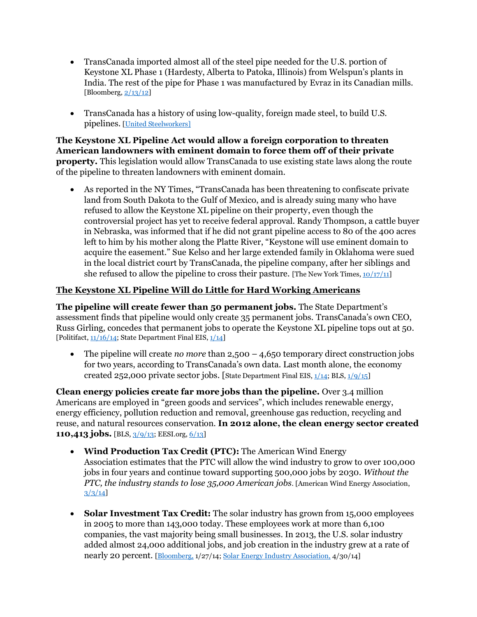- TransCanada imported almost all of the steel pipe needed for the U.S. portion of Keystone XL Phase 1 (Hardesty, Alberta to Patoka, Illinois) from Welspun's plants in India. The rest of the pipe for Phase 1 was manufactured by Evraz in its Canadian mills. [Bloomberg,  $2/13/12$ ]
- TransCanada has a history of using low-quality, foreign made steel, to build U.S. pipelines. [\[United Steelworkers\]](http://www.prnewswire.com/news-releases/usw-challenges-transcanada-keystone-pipeline-permit-for-safety-61789347.html)

**The Keystone XL Pipeline Act would allow a foreign corporation to threaten American landowners with eminent domain to force them off of their private property.** This legislation would allow TransCanada to use existing state laws along the route of the pipeline to threaten landowners with eminent domain.

 As reported in the NY Times, "TransCanada has been threatening to confiscate private land from South Dakota to the Gulf of Mexico, and is already suing many who have refused to allow the Keystone XL pipeline on their property, even though the controversial project has yet to receive federal approval. Randy Thompson, a cattle buyer in Nebraska, was informed that if he did not grant pipeline access to 80 of the 400 acres left to him by his mother along the Platte River, "Keystone will use eminent domain to acquire the easement." Sue Kelso and her large extended family in Oklahoma were sued in the local district court by TransCanada, the pipeline company, after her siblings and she refused to allow the pipeline to cross their pasture. [The New York Times,  $10/17/11$ ]

### **The Keystone XL Pipeline Will do Little for Hard Working Americans**

**The pipeline will create fewer than 50 permanent jobs.** The State Department's assessment finds that pipeline would only create 35 permanent jobs. TransCanada's own CEO, Russ Girling, concedes that permanent jobs to operate the Keystone XL pipeline tops out at 50. [Politifact,  $\frac{11}{16}/\frac{14}{3}$ ; State Department Final EIS,  $\frac{1}{14}$ ]

 The pipeline will create *no more* than 2,500 – 4,650 temporary direct construction jobs for two years, according to TransCanada's own data. Last month alone, the economy created 252,000 private sector jobs. [State Department Final EIS,  $1/14$ ; BLS,  $1/9/15$ ]

**Clean energy policies create far more jobs than the pipeline.** Over 3.4 million Americans are employed in "green goods and services", which includes renewable energy, energy efficiency, pollution reduction and removal, greenhouse gas reduction, recycling and reuse, and natural resources conservation. **In 2012 alone, the clean energy sector created 110,413 jobs.** [BLS[, 3/9/13;](http://www.bls.gov/ggs/) EESI.org, [6/13\]](http://www.eesi.org/papers/view/fact-sheet-jobs-in-renewable-energy-and-energy-efficiency?/fact-sheet-jobs-renewable-energy-and-energy-efficiency-11-jun-2013)

- **Wind Production Tax Credit (PTC):** The American Wind Energy Association estimates that the PTC will allow the wind industry to grow to over 100,000 jobs in four years and continue toward supporting 500,000 jobs by 2030. *Without the PTC, the industry stands to lose 35,000 American jobs.* [American Wind Energy Association, [3/3/14\]](https://webmail.senate.ussenate.us/owa/redir.aspx?C=xe0vJ78HR0movsIDhfM_Fk7m3Sp8AdIIfH0J_IKvMdJfpWlrdsO8DDK5LWyKVGbHrbow61Hqlo0.&URL=http%3a%2f%2faweablog.org%2fblog%2fpost%2fkeeping-score-why-is-a-threeweek-ptc-extension-worthless)
- **Solar Investment Tax Credit:** The solar industry has grown from 15,000 employees in 2005 to more than 143,000 today. These employees work at more than 6,100 companies, the vast majority being small businesses. In 2013, the U.S. solar industry added almost 24,000 additional jobs, and job creation in the industry grew at a rate of nearly 20 percent. [\[Bloomberg,](http://www.bloomberg.com/news/2015-01-15/u-s-solar-jobs-climb-22-as-clean-power-aids-economic-recovery.html) 1/27/14[; Solar Energy Industry Association,](http://www.seia.org/research-resources/solar-industry-data) 4/30/14]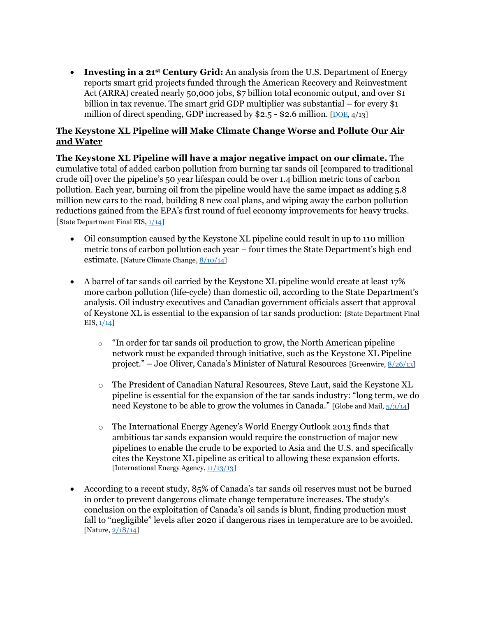**Investing in a 21st Century Grid:** An analysis from the U.S. Department of Energy reports smart grid projects funded through the American Recovery and Reinvestment Act (ARRA) created nearly 50,000 jobs, \$7 billion total economic output, and over \$1 billion in tax revenue. The smart grid GDP multiplier was substantial – for every \$1 million of direct spending, GDP increased by  $$2.5 - $2.6$  million. [\[DOE,](https://www.smartgrid.gov/sites/default/files/doc/files/Smart%20Grid%20Economic%20Impact%20Report.pdf)  $4/13$ ]

#### **The Keystone XL Pipeline will Make Climate Change Worse and Pollute Our Air and Water**

**The Keystone XL Pipeline will have a major negative impact on our climate.** The cumulative total of added carbon pollution from burning tar sands oil [compared to traditional crude oil] over the pipeline's 50 year lifespan could be over 1.4 billion metric tons of carbon pollution. Each year, burning oil from the pipeline would have the same impact as adding 5.8 million new cars to the road, building 8 new coal plans, and wiping away the carbon pollution reductions gained from the EPA's first round of fuel economy improvements for heavy trucks. [State Department Final EIS,  $1/14$ ]

- Oil consumption caused by the Keystone XL pipeline could result in up to 110 million metric tons of carbon pollution each year – four times the State Department's high end estimate. [Nature Climate Change, [8/10/14\]](http://www.nature.com/nclimate/journal/v4/n9/full/nclimate2335.html)
- A barrel of tar sands oil carried by the Keystone XL pipeline would create at least 17% more carbon pollution (life-cycle) than domestic oil, according to the State Department's analysis. Oil industry executives and Canadian government officials assert that approval of Keystone XL is essential to the expansion of tar sands production: [State Department Final EIS,  $1/14$ ]
	- o "In order for tar sands oil production to grow, the North American pipeline network must be expanded through initiative, such as the Keystone XL Pipeline project." – Joe Oliver, Canada's Minister of Natural Resources [Greenwire[, 8/26/13\]](http://www.eenews.net/login?rfr=1)
	- o The President of Canadian Natural Resources, Steve Laut, said the Keystone XL pipeline is essential for the expansion of the tar sands industry: "long term, we do need Keystone to be able to grow the volumes in Canada." [Globe and Mail,  $\frac{5}{3}/\frac{3}{14}$ ]
	- o The International Energy Agency's World Energy Outlook 2013 finds that ambitious tar sands expansion would require the construction of major new pipelines to enable the crude to be exported to Asia and the U.S. and specifically cites the Keystone XL pipeline as critical to allowing these expansion efforts. [International Energy Agency[, 11/13/13\]](http://www.worldenergyoutlook.org/publications/weo-2013/)
- According to a recent study, 85% of Canada's tar sands oil reserves must not be burned in order to prevent dangerous climate change temperature increases. The study's conclusion on the exploitation of Canada's oil sands is blunt, finding production must fall to "negligible" levels after 2020 if dangerous rises in temperature are to be avoided. [Nature[, 2/18/14\]](http://www.nature.com/nature/journal/v517/n7533/full/nature14016.html)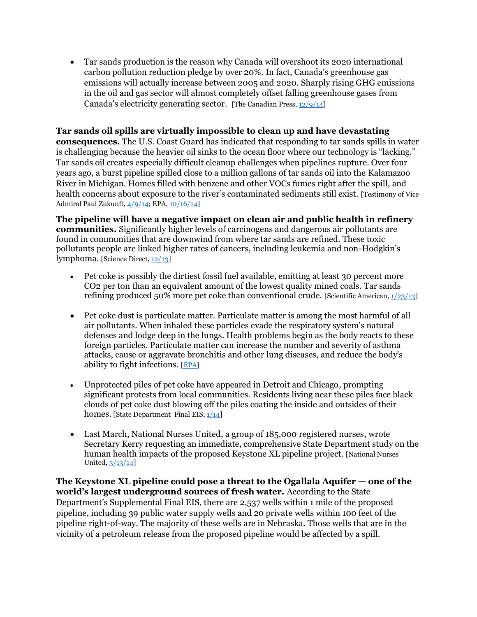Tar sands production is the reason why Canada will overshoot its 2020 international carbon pollution reduction pledge by over 20%. In fact, Canada's greenhouse gas emissions will actually increase between 2005 and 2020. Sharply rising GHG emissions in the oil and gas sector will almost completely offset falling greenhouse gases from Canada's electricity generating sector.[The Canadian Press[, 12/9/14\]](http://www.cbc.ca/news/business/canada-falls-short-of-its-2020-climate-change-commitment-1.2865992)

#### **Tar sands oil spills are virtually impossible to clean up and have devastating**

**consequences.** The U.S. Coast Guard has indicated that responding to tar sands spills in water is challenging because the heavier oil sinks to the ocean floor where our technology is "lacking." Tar sands oil creates especially difficult cleanup challenges when pipelines rupture. Over four years ago, a burst pipeline spilled close to a million gallons of tar sands oil into the Kalamazoo River in Michigan. Homes filled with benzene and other VOCs fumes right after the spill, and health concerns about exposure to the river's contaminated sediments still exist. [Testimony of Vice Admiral Paul Zukunft[, 4/9/14;](http://www.commerce.senate.gov/public/index.cfm?p=Hearings&ContentRecord_id=c0e8d5ad-e65a-4a7f-b624-2da65f4d421e&ContentType_id=14f995b9-dfa5-407a-9d35-56cc7152a7ed&Group_id=b06c39af-e033-4cba-9221-de668ca1978a&MonthDisplay=4&YearDisplay=2014) EPA, [10/16/14\]](http://www.epa.gov/enbridgespill/)

**The pipeline will have a negative impact on clean air and public health in refinery communities.** Significantly higher levels of carcinogens and dangerous air pollutants are found in communities that are downwind from where tar sands are refined. These toxic pollutants people are linked higher rates of cancers, including leukemia and non-Hodgkin's lymphoma. [Science Direct[, 12/13\]](http://www.sciencedirect.com/science/article/pii/S135223101300705X)

- Pet coke is possibly the dirtiest fossil fuel available, emitting at least 30 percent more CO2 per ton than an equivalent amount of the lowest quality mined coals. Tar sands refining produced 50% more pet coke than conventional crude. [Scientific American, [1/23/13\]](http://www.scientificamerican.com/article/tar-sands-and-keystone-xl-pipeline-impact-on-global-warming/)
- Pet coke dust is particulate matter. Particulate matter is among the most harmful of all air pollutants. When inhaled these particles evade the respiratory system's natural defenses and lodge deep in the lungs. Health problems begin as the body reacts to these foreign particles. Particulate matter can increase the number and severity of asthma attacks, cause or aggravate bronchitis and other lung diseases, and reduce the body's ability to fight infections. [\[EPA\]](http://www.epa.gov/pm/health.html)
- Unprotected piles of pet coke have appeared in Detroit and Chicago, prompting significant protests from local communities. Residents living near these piles face black clouds of pet coke dust blowing off the piles coating the inside and outsides of their homes. [State Department Final EIS,  $1/14$ ]
- Last March, National Nurses United, a group of 185,000 registered nurses, wrote Secretary Kerry requesting an immediate, comprehensive State Department study on the human health impacts of the proposed Keystone XL pipeline project. [National Nurses United[, 3/13/14\]](http://www.nationalnursesunited.org/page/-/files/pdf/flyers/Kerry-letter-kxl-health-impact-study-031214-final.pdf)

**The Keystone XL pipeline could pose a threat to the Ogallala Aquifer — one of the world's largest underground sources of fresh water.** According to the State Department's Supplemental Final EIS, there are 2,537 wells within 1 mile of the proposed pipeline, including 39 public water supply wells and 20 private wells within 100 feet of the pipeline right-of-way. The majority of these wells are in Nebraska. Those wells that are in the vicinity of a petroleum release from the proposed pipeline would be affected by a spill.